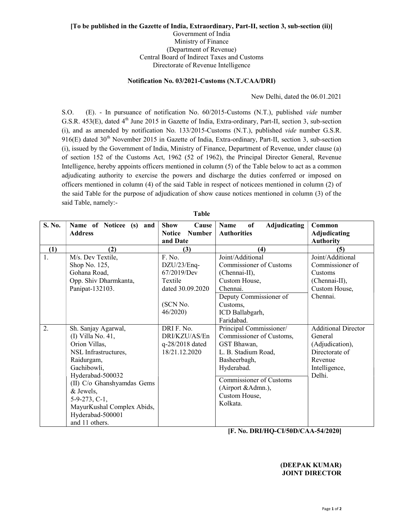## [To be published in the Gazette of India, Extraordinary, Part-II, section 3, sub-section (ii)] Government of India Ministry of Finance (Department of Revenue) Central Board of Indirect Taxes and Customs Directorate of Revenue Intelligence

## Notification No. 03/2021-Customs (N.T./CAA/DRI)

New Delhi, dated the 06.01.2021

S.O. (E). - In pursuance of notification No. 60/2015-Customs (N.T.), published vide number G.S.R. 453(E), dated 4<sup>th</sup> June 2015 in Gazette of India, Extra-ordinary, Part-II, section 3, sub-section (i), and as amended by notification No. 133/2015-Customs (N.T.), published vide number G.S.R. 916(E) dated  $30<sup>th</sup>$  November 2015 in Gazette of India, Extra-ordinary, Part-II, section 3, sub-section (i), issued by the Government of India, Ministry of Finance, Department of Revenue, under clause (a) of section 152 of the Customs Act, 1962 (52 of 1962), the Principal Director General, Revenue Intelligence, hereby appoints officers mentioned in column (5) of the Table below to act as a common adjudicating authority to exercise the powers and discharge the duties conferred or imposed on officers mentioned in column (4) of the said Table in respect of noticees mentioned in column (2) of the said Table for the purpose of adjudication of show cause notices mentioned in column (3) of the said Table, namely:-

| S. No. | Name of Noticee (s) and<br><b>Address</b> | <b>Show</b><br>Cause<br><b>Number</b><br><b>Notice</b> | of<br>Adjudicating<br>Name<br><b>Authorities</b> | Common<br><b>Adjudicating</b> |
|--------|-------------------------------------------|--------------------------------------------------------|--------------------------------------------------|-------------------------------|
|        |                                           | and Date                                               |                                                  | <b>Authority</b>              |
| (1)    | (2)                                       | (3)                                                    | (4)                                              | (5)                           |
| 1.     | M/s. Dev Textile,                         | F. No.                                                 | Joint/Additional                                 | Joint/Additional              |
|        | Shop No. 125,                             | DZU/23/Enq-                                            | Commissioner of Customs                          | Commissioner of               |
|        | Gohana Road,                              | 67/2019/Dev                                            | (Chennai-II),                                    | Customs                       |
|        | Opp. Shiv Dharmkanta,                     | Textile                                                | Custom House,                                    | (Chennai-II),                 |
|        | Panipat-132103.                           | dated 30.09.2020                                       | Chennai.                                         | Custom House,                 |
|        |                                           |                                                        | Deputy Commissioner of                           | Chennai.                      |
|        |                                           | (SCN No.                                               | Customs,                                         |                               |
|        |                                           | 46/2020                                                | ICD Ballabgarh,                                  |                               |
|        |                                           |                                                        | Faridabad.                                       |                               |
| 2.     | Sh. Sanjay Agarwal,                       | DRI F. No.                                             | Principal Commissioner/                          | <b>Additional Director</b>    |
|        | $(I)$ Villa No. 41,                       | DRI/KZU/AS/En                                          | Commissioner of Customs,                         | General                       |
|        | Orion Villas,                             | q-28/2018 dated                                        | GST Bhawan,                                      | (Adjudication),               |
|        | NSL Infrastructures,                      | 18/21.12.2020                                          | L. B. Stadium Road,                              | Directorate of                |
|        | Raidurgam,                                |                                                        | Basheerbagh,                                     | Revenue                       |
|        | Gachibowli,                               |                                                        | Hyderabad.                                       | Intelligence,                 |
|        | Hyderabad-500032                          |                                                        | <b>Commissioner of Customs</b>                   | Delhi.                        |
|        | (II) C/o Ghanshyamdas Gems                |                                                        | (Airport & Admn.),                               |                               |
|        | & Jewels,                                 |                                                        | Custom House,                                    |                               |
|        | $5-9-273, C-1,$                           |                                                        | Kolkata.                                         |                               |
|        | MayurKushal Complex Abids,                |                                                        |                                                  |                               |
|        | Hyderabad-500001                          |                                                        |                                                  |                               |
|        | and 11 others.                            |                                                        |                                                  |                               |

Table

[F. No. DRI/HQ-CI/50D/CAA-54/2020]

## (DEEPAK KUMAR) JOINT DIRECTOR